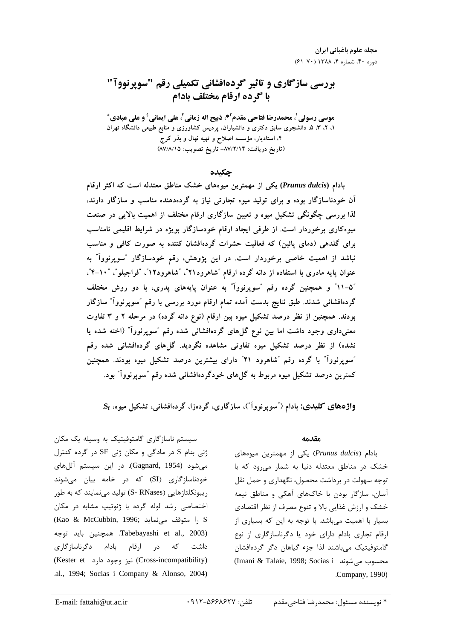# بررسی سازگاری و تاثیر گردهافشانی تکمیلی رقم "سویرنووآ" با گرده ارقام مختلف بادام

موسى رسولي'، محمدرضا فتاحي مقدم<sup>٢</sup>\*، ذبيح اله زماني ّ، على ايماني <sup>؛</sup> و على عبادي ْ ۱، ۲، ۳، ۵، دانشجوی سابق دکتری و دانشیاران، پردیس کشاورزی و منابع طبیعی دانشگاه تهران ۴، استادیار، مؤسسه اصلاح و تهیه نهال و بذر کرج (تاريخ دريافت: ٨٧/٢/١۴- تاريخ تصويب: ٨٧/٨/١٥)

حكىدە

بادام (Prunus dulcis) یکی از مهمترین میوههای خشک مناطق معتدله است که اکثر ارقام آن خودناسازگار بوده و برای تولید میوه تجارتی نیاز به گردهدهنده مناسب و سازگار دارند، لذا بررسی چگونگی تشکیل میوه و تعیین سازگاری ارقام مختلف از اهمیت بالایی در صنعت میوهکاری برخوردار است. از طرفی ایجاد ارقام خودسازگار بویژه در شرایط اقلیمی نامناسب برای گلدهی (دمای پائین) که فعالیت حشرات گردهافشان کننده به صورت کافی و مناسب نباشد از اهمیت خاصی برخوردار است. در این پژوهش، رقم خودسازگار ″سوپرنووآ" به عنوان پایه مادری با استفاده از دانه گرده ارقام "شاهرود۲۱"، "شاهرود۱۲"، "فراجیلو"، "۱۰-۴"، "۵-۱۱" و همچنین گرده رقم "سوپرنوواً" به عنوان پایههای پدری، با دو روش مختلف گردهافشانی شدند. طبق نتایج بدست آمده تمام ارقام مورد بررسی با رقم ″سوپرنوواً″ سازگار بودند. همچنین از نظر درصد تشکیل میوه بین ارقام (نوع دانه گرده) در مرحله ۲ و ۳ تفاوت معنیداری وجود داشت اما بین نوع گلهای گردهافشانی شده رقم "سوپرنوواً" (اخته شده یا نشده) از نظر درصد تشکیل میوه تفاوتی مشاهده نگردید. گلهای گردهافشانی شده رقم "سویرنووآ" با گرده رقم "شاهرود ۲۱" دارای بیشترین درصد تشکیل میوه بودند. همچنین کمترین درصد تشکیل میوه مربوط به گلهای خودگردهافشانی شده رقم ″سوپرنووآ″ بود.

واژههای کلیدی: بادام ("سویرنووآ")، سازگاری، گردهزا، گردهافشانی، تشکیل میوه، S<sub>t</sub>.

سیستم ناسازگاری گامتوفیتیک به وسیله یک مکان ژنی بنام S در مادگی و مکان ژنی SF در گرده کنترل میشود (Gagnard, 1954). در این سیستم آللهای خودناسازگاری (SI) که در خامه بیان می شوند ریبونکلئازهایی (S- RNases) تولید می نمایند که به طور اختصاصی رشد لوله گرده با ژنوتیپ مشابه در مکان (Kao & McCubbin, 1996; ا متوقف می نماید), S Tabebayashi et al., 2003). همچنین باید توجه ارقام بادام دگرناسازگاری داشت در که (Cross-incompatibility) نیز وجود دارد (Kester et .al., 1994; Socias i Company & Alonso, 2004)

#### مقدمه

بادام (Prunus dulcis) یکی از مهمترین میوههای خشک در مناطق معتدله دنیا به شمار می رود که با توجه سهولت در برداشت محصول، نگهداری و حمل نقل آسان، سازگار بودن با خاکهای آهکی و مناطق نیمه خشک و ارزش غذایی بالا و تنوع مصرف از نظر اقتصادی بسیار با اهمیت میباشد. با توجه به این که بسیاری از ارقام تجاری بادام دارای خود یا دگرناسازگاری از نوع گامتوفیتیک مے باشند لذا جزء گیاهان دگر گردهافشان (Imani & Talaie, 1998; Socias i) محسوب مى شوند .Company, 1990)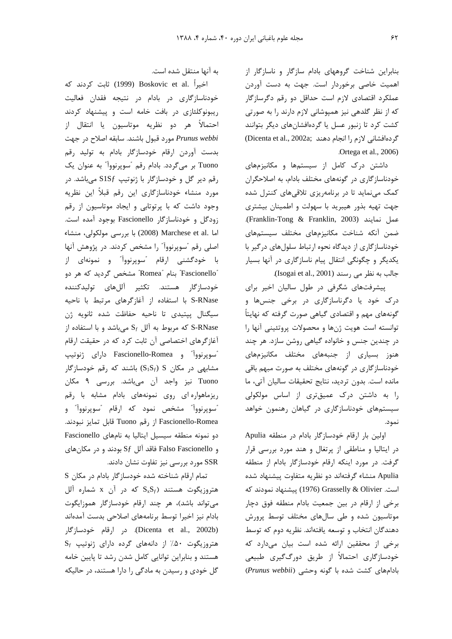بنابراین شناخت گروههای بادام سازگار و ناسازگار از اهميت خاصى برخوردار است. جهت به دست آوردن عملکرد اقتصادی لازم است حداقل دو رقم دگرسازگار که از نظر گلدهی نیز همپوشانی لازم دارند را به صورتی كشت كرد تا زنبور عسل يا گردهافشانهای ديگر بتوانند (Dicenta et al., 2002a; دهافشانی لازم را انجام دهند) Ortega et al., 2006)

داشتن درک کامل از سیستمها و مکانیزمهای خودناسازگاری در گونههای مختلف بادام، به اصلاحگران کمک مینماید تا در برنامهریزی تلاقیهای کنترل شده جهت تهيه بذور هيبريد با سهولت و اطمينان بيشترى عمل نمايند (Franklin-Tong & Franklin, 2003). ضمن آنكه شناخت مكانيزمهاى مختلف سيستمهاى خودناسازگاری از دیدگاه نحوه ارتباط سلولهای درگیر با یکدیگر و چگونگی انتقال پیام ناسازگاری در آنها بسیار جالب به نظر می رسند (Isogai et al., 2001).

پیشرفتهای شگرفی در طول سالیان اخیر برای درک خود یا دگرناسازگاری در برخی جنسها و گونههای مهم و اقتصادی گیاهی صورت گرفته که نهایتاً توانسته است هويت ژنها و محصولات پروتئيني آنها را در چندین جنس و خانواده گیاهی روشن سازد. هر چند هنوز بسیاری از جنبههای مختلف مکانیزمهای خودناسازگاری در گونههای مختلف به صورت مبهم باقی مانده است. بدون ترديد، نتايج تحقيقات ساليان آتى، ما را به داشتن درک عمیقتری از اساس مولکولی سیستمهای خودناسازگاری در گیاهان رهنمون خواهد نمود.

اولین بار ارقام خودسازگار بادام در منطقه Apulia در ایتالیا و مناطقی از پرتغال و هند مورد بررسی قرار گرفت. در مورد اینکه ارقام خودسازگار بادام از منطقه Apulia منشاء گرفتهاند دو نظريه متفاوت پيشنهاد شده است. Grasselly & Olivier (1976) پیشنهاد نمودند که برخی از ارقام در بین جمعیت بادام منطقه فوق دچار موتاسیون شده و طی سالهای مختلف توسط پرورش دهندگان انتخاب و توسعه یافتهاند. نظریه دوم که توسط برخی از محققین ارائه شده است بیان میدارد که خودسازگاری احتمالاً از طریق دورگگیری طبیعی بادامهای کشت شده با گونه وحشی (Prunus webbii)

به آنها منتقل شده است.

اخيراً .Boskovic et al (1999) ثابت كردند كه خودناسازگاری در بادام در نتیجه فقدان فعالیت ریبونوکلئازی در بافت خامه است و پیشنهاد کردند احتمالاً هر دو نظريه موتاسيون يا انتقال از Prunus webbi مورد قبول باشند. سابقه اصلاح در جهت بدست آوردن ارقام خودسازگار بادام به تولید رقم Tuono بر میگردد. بادام رقم "سوپرنووآ" به عنوان یک رقم دیر گل و خودسازگار با ژنوتیپ S1Sf میباشد. در مورد منشاء خودناسازگاری این رقم قبلاً این نظریه وجود داشت که با پرتوتابی و ایجاد موتاسیون از رقم زودگل و خودناسازگار Fascionello بوجود آمده است. اما .Marchese et al (2008) با بررسی مولکولی، منشاء اصلی رقم "سویرنووآ" را مشخص کردند. در پژوهش آنها با خودگشنی ارقام "سوپرنوواً" و نمونهای از "Fascionello" بنام "Romea" مشخص گرديد كه هر دو خودسازگار هستند. تکثیر آللهای تولیدکننده S-RNase با استفاده از آغازگرهای مرتبط با ناحیه سيگنال پيتيدي تا ناحيه حفاظت شده ثانويه ژن که مربوط به آلل  $S_f$  میباشد و با استفاده از S-RNase آغازگرهای اختصاصی آن ثابت کرد که در حقیقت ارقام "سويرنوواً" و Fascionello-Romea داراي ژنوتيپ مشابهی در مکان  $(S_1S_f) S$ ) باشند که رقم خودسازگار Tuono نيز واجد آن مي باشد. بررسي ٩ مكان ریزماهواره ای روی نمونههای بادام مشابه با رقم "سوپرنووآ" مشخص نمود که ارقام "سوپرنووآ" و Fascionello-Romea از رقم Tuono قابل تمايز نبودند. دو نمونه منطقه سیسیل ایتالیا به نامهای Fascionello و Falso Fascionello فاقد آلل  $Sf$  بودند و در مكانهاى SSR مورد بررسی نیز تفاوت نشان دادند.

تمام ارقام شناخته شده خودسازگار بادام در مكان S هتروزیگوت هستند  $S_xS_f$  که در آن x شماره آلل می تواند باشد)، هر چند ارقام خودسازگار هموزایگوت بادام نيز اخيرا توسط برنامههاى اصلاحى بدست آمدهاند (Dicenta et al., 2002b). در ارقام خودسازگار Sf (متروزیگوت ۵۰٪ از دانههای گرده دارای ژنوتیپ هستند و بنابراین توانایی کامل شدن رشد تا پایین خامه گل خودی و رسیدن به مادگی را دارا هستند، در حالیکه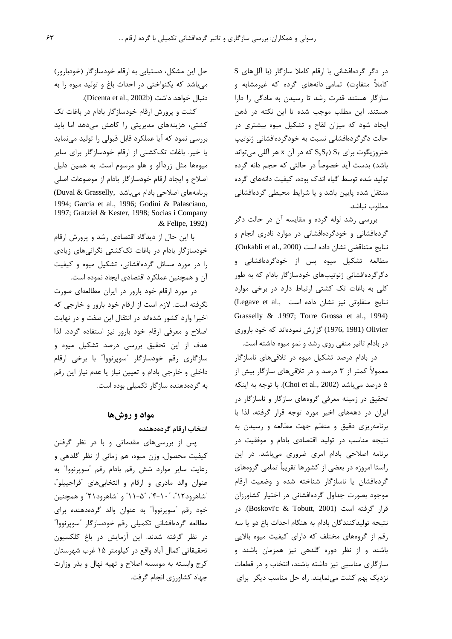در دگر گردهافشانی با ارقام کاملا سازگار (با آللهای S کاملاً متفاوت) تمامی دانههای گرده که غیرمشابه و سازگار هستند قدرت رشد تا رسیدن به مادگی را دارا هستند. این مطلب موجب شده تا این نکته در ذهن ایجاد شود که میزان لقاح و تشکیل میوه بیشتری در حالت دگر گردهافشانی نسبت به خودگردهافشانی ژنوتیپ هتروزیگوت برای  $\mathrm{S}_f$  ( $\mathrm{S}_x \mathrm{S}_f$  که در آن x هر آللی می تواند باشد) بدست آید خصوصاً در حالتی که حجم دانه گرده تولید شده توسط گیاه اندک بوده، کیفیت دانههای گرده منتقل شده پایین باشد و یا شرایط محیطی گردهافشانی مطلوب نياشد.

بررسی رشد لوله گرده و مقایسه آن در حالت دگر گردهافشانی و خودگردهافشانی در موارد نادری انجام و نتايج متناقضي نشان داده است (Oukabli et al., 2000). مطالعه تشکیل میوه پس از خودگردهافشانی و دگرگردهافشانی ژنوتیپهای خودسازگار بادام که به طور کلی به باغات تک کشتی ارتباط دارد در برخی موارد نتايج متفاوتي نيز نشان داده است .(Legave et al Grasselly & .1997; Torre Grossa et al., 1994) Olivier (1976, 1981) گزارش نمودهاند که خود باروری در بادام تاثیر منفی روی رشد و نمو میوه داشته است.

در بادام درصد تشکیل میوه در تلاقیهای ناسازگار معمولاً کمتر از ۳ درصد و در تلاقیهای سازگار بیش از ۵ درصد می,باشد (Choi et al., 2002). با توجه به اینکه تحقیق در زمینه معرفی گروههای سازگار و ناسازگار در ایران در دهههای اخیر مورد توجه قرار گرفته، لذا با برنامهریزی دقیق و منظم جهت مطالعه و رسیدن به نتیجه مناسب در تولید اقتصادی بادام و موفقیت در برنامه اصلاحی بادام امری ضروری می باشد. در این راستا امروزه در بعضی از کشورها تقریباً تمامی گروههای گردهافشان یا ناسازگار شناخته شده و وضعیت ارقام موجود بصورت جداول گردهافشانی در اختیار کشاورزان قرار گرفته است (Boskovi'c & Tobutt, 2001). در نتيجه توليدكنندگان بادام به هنگام احداث باغ دو يا سه رقم از گروههای مختلف که دارای کیفیت میوه بالایی باشند و از نظر دوره گلدهی نیز همزمان باشند و سازگاری مناسبی نیز داشته باشند، انتخاب و در قطعات نزدیک بهم کشت می نمایند. راه حل مناسب دیگر برای

حل این مشکل، دستیابی به ارقام خودسازگار (خودبارور) میباشد که یکنواختی در احداث باغ و تولید میوه را به دنبال خواهد داشت (Dicenta et al., 2002b).

کشت و پرورش ارقام خودسازگار بادام در باغات تک کشتی، هزینههای مدیریتی را کاهش میدهد اما باید بررسی نمود که آیا عملکرد قابل قبولی را تولید می نماید یا خیر. باغات تککشتی از ارقام خودسازگار برای سایر میوهها مثل زردآلو و هلو مرسوم است. به همین دلیل اصلاح و ایجاد ارقام خودسازگار بادام از موضوعات اصلی (Duval & Grasselly, برنامههای اصلاحی بادام میباشد) 1994; Garcia et al., 1996; Godini & Palasciano, 1997: Gratziel & Kester, 1998: Socias i Company & Felipe, 1992).

با این حال از دیدگاه اقتصادی رشد و پرورش ارقام خودسازگار بادام در باغات تککشتی نگرانیهای زیادی را در مورد مسائل گردهافشانی، تشکیل میوه و کیفیت آن و همچنین عملکرد اقتصادی ایجاد نموده است.

در مورد ارقام خود بارور در ایران مطالعهای صورت نگرفته است. لازم است از ارقام خود بارور و خارجی که اخیرا وارد کشور شدهاند در انتقال این صفت و در نهایت اصلاح و معرفی ارقام خود بارور نیز استفاده گردد. لذا هدف از این تحقیق بررسی درصد تشکیل میوه و سازگاری رقم خودسازگار "سوپرنوواً" با برخی ارقام داخلي و خارجي بادام و تعيين نياز يا عدم نياز اين رقم به گردهدهنده سازگار تکمیلی بوده است.

### مواد و روشها

انتخاب ارقام گردهدهنده

پس از بررسیهای مقدماتی و با در نظر گرفتن کیفیت محصول، وزن میوه، هم زمانی از نظر گلدهی و رعايت ساير موارد شش رقم بادام رقم "سويرنوواً" به عنوان والد مادري و ارقام و انتخابي هاي "فراجييلو"، "شاهرود۱۲″، "۱۰–۴″، "۵–۱۱″ و "شاهرود۲۱″ و همچنین خود رقم "سوپرنووآ" به عنوان والد گردهدهنده برای مطالعه گردهافشانی تکمیلی رقم خودسازگار "سوپرنوواً" در نظر گرفته شدند. این آزمایش در باغ کلکسیون تحقیقاتی کمال آباد واقع در کیلومتر ۱۵ غرب شهرستان كرج وابسته به موسسه اصلاح و تهيه نهال و بذر وزارت جهاد كشاورزي انجام گرفت.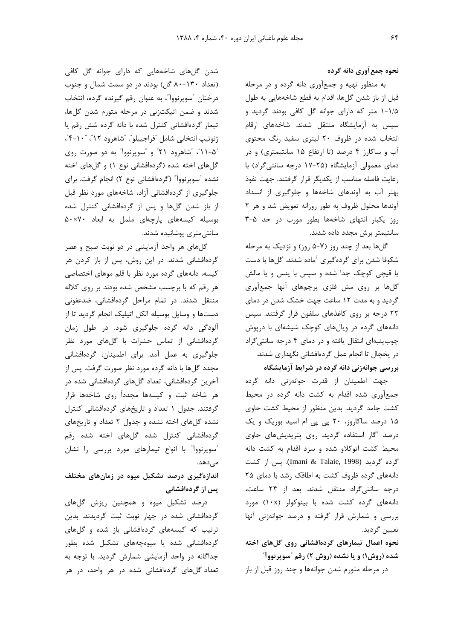نحوه جمع آوري دانه گرده

به منظور تهیه و جمعآوری دانه گرده و در مرحله قبل از باز شدن گلها، اقدام به قطع شاخههایی به طول ۱/۵-۱ متر که دارای جوانه گل کافی بودند گردید و سیس به آزمایشگاه منتقل شدند. شاخههای ارقام انتخاب شده در ظروف ۲۰ لیتری سفید رنگ محتوی آب و ساکارز ۴ درصد (تا ارتفاع ۱۵ سانتیمتری) و در دمای معمولی آزمایشگاه (۲۵-۱۷ درجه سانتی گراد) با رعايت فاصله مناسب از يكديگر قرار گرفتند. جهت نفوذ بهتر آب به آوندهای شاخهها و جلوگیری از انسداد آوندها محلول ظروف به طور روزانه تعويض شد و هر ٢ روز یکبار انتهای شاخهها بطور مورب در حد ۵-۳ سانتیمتر برش مجدد داده شدند.

گلها بعد از چند روز (۷-۵ روز) و نزدیک به مرحله شکوفا شدن برای گردهگیری آماده شدند. گلها با دست یا قیچی کوچک جدا شده و سپس با پنس و یا مالش گلها بر روی مش فلزی پرچمهای آنها جمعآوری گردید و به مدت ۱۲ ساعت جهت خشک شدن در دمای ۲۲ درجه بر روی کاغذهای سلفون قرار گرفتند. سیس دانههای گرده در ویالهای کوچک شیشهای با درپوش چوب پنبهای انتقال یافته و در دمای ۴ درجه سانتی گراد در یخچال تا انجام عمل گردهافشانی نگهداری شدند. بررسی جوانهزنی دانه گرده در شرایط آزمایشگاه

جهت اطمينان از قدرت جوانهزني دانه گرده جمع آوری شده اقدام به کشت دانه گرده در محیط کشت جامد گردید. بدین منظور از محیط کشت حاوی ۱۵ درصد ساکاروز، ۲۰ پی پی ام اسید بوریک و یک درصد آگار استفاده گردید. روی پتریدیشهای حاوی محیط کشت اتوکلاو شده و سرد اقدام به کشت دانه گرده گردید (Imani & Talaie, 1998). پس از کشت دانههای گرده ظروف کشت به اطاقک رشد با دمای ۲۵ درجه سانتی گراد منتقل شدند. بعد از ۲۴ ساعت، دانههای گرده کشت شده با بینوکولر (۱۰x) مورد بررسی و شمارش قرار گرفته و درصد جوانهزنی آنها تعيين گرديد.

نحوه اعمال تیمارهای گردهافشانی روی گلهای اخته شده (روش۱) و یا نشده (روش ۲) رقم "سوپرنووآ"

در مرحله متورم شدن جوانهها و چند روز قبل از باز

شدن گلهای شاخههایی که دارای جوانه گل کافی (تعداد ١٣٠-٨٠ گل) بودند در دو سمت شمال و جنوب درختان "سويرنوواّ"، به عنوان رقم گيرنده گرده، انتخاب شدند و ضمن اتیکتزنی در مرحله متورم شدن گلها، تیمار گردهافشانی کنترل شده با دانه گرده شش رقم یا ژنوتيپ انتخابي شامل "فراجييلو"، "شاهرود ١٢"، "١٠-۴"، "۵- ۲۱"، "شاهرود ۲۱" و "سوپرنوواً" به دو صورت روی گلهای اخته شده (گردهافشانی نوع ۱) و گلهای اخته نشده "سویرنوواً" (گردهافشانی نوع ۲) انجام گرفت. برای جلوگیری از گردهافشانی آزاد، شاخههای مورد نظر قبل از باز شدن گلها و پس از گردهافشانی کنترل شده بوسیله کیسههای یارچهای ململ به ابعاد ۵۰×۵۰ سانتىمترى پوشانيدە شدند.

گلهای هر واحد آزمایشی در دو نوبت صبح و عصر گردهافشانی شدند. در این روش، پس از باز کردن هر کیسه، دانههای گرده مورد نظر با قلم موهای اختصاصی هر رقم که با برچسب مشخص شده بودند بر روی کلاله منتقل شدند. در تمام مراحل گردهافشانی، ضدعفونی دستها و وسایل بوسیله الکل اتیلیک انجام گردید تا از آلودگی دانه گرده جلوگیری شود. در طول زمان گردهافشانی از تماس حشرات با گلهای مورد نظر جلوگیری به عمل آمد. برای اطمینان، گردهافشانی مجدد گلها با دانه گرده مورد نظر صورت گرفت. پس از آخرین گردهافشانی، تعداد گلهای گردهافشانی شده در هر شاخه ثبت و کیسهها مجدداً روی شاخهها قرار گرفتند. جدول ١ تعداد و تاريخهای گردهافشانی كنترل نشده گلهای اخته نشده و جدول ۲ تعداد و تاریخهای گردهافشانی کنترل شده گلهای اخته شده رقم "سوپرنووآ" با انواع تیمارهای مورد بررسی را نشان مے ٖدھد.

اندازهگیری درصد تشکیل میوه در زمانهای مختلف پس از گردهافشانی

درصد تشکیل میوه و همچنین ریزش گلهای گردهافشانی شده در چهار نوبت ثبت گردیدند. بدین ترتیب که کیسههای گردهافشانی باز شده و گلهای گردهافشانی شده یا میوهچههای تشکیل شده بطور جداگانه در واحد آزمایشی شمارش گردید. با توجه به تعداد گلهای گردهافشانی شده در هر واحد، در هر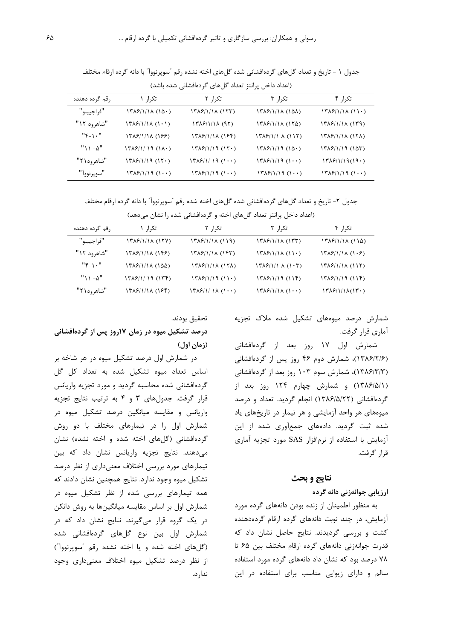| (اعداد داخل پرانتز تعداد کل های کردهافشانی شده باشد) |                                                             |                                                 |                          |                 |
|------------------------------------------------------|-------------------------------------------------------------|-------------------------------------------------|--------------------------|-----------------|
| , قم گرده دهنده                                      | تکرا, ۱                                                     | تکرا, ۲                                         | تکرا, ۳                  | تكرا, ۴         |
| "فراجييلو"                                           | $\frac{1429}{1111}$ (15.)                                   | $\frac{14}{8}$                                  | (۱۵۸) ۱۳۸۶/۱/۱۸          | $\frac{14}{8}$  |
| "شاهرود ۱۲"                                          | $\frac{14}{8}$ (1 $\frac{1}{10}$ )                          | $\frac{14}{2}$                                  | $17\lambda$ ۶/1/18 (175) | $\frac{14}{14}$ |
| $"Y_{-1}$ ."                                         | <i>۱۳۸۶/۱/۱۸ (۱۶۶)</i>                                      | <i>۱۳۸۶/۱/۱۸ (۱۶</i> ۴)                         | $\frac{14}{8}$ (115)     | (۱۳۸۶/۱/۱۸ (۱۲۸ |
| $" \cup -\Delta"$                                    | (۱۳۸۶/۱/ ۱۹ (۱۸۰)                                           | $17\lambda$ ۶/۱/19 (1۲۰)                        | $17\lambda$ ۶/1/19 (15.) | (۱۵۳) ۱۳۸۶/۱/۱۹ |
| "شاهرود ۲۱"                                          | $14\frac{5}{12}$ $1119$ $(17)$                              | $\frac{14}{14}$ $\frac{14}{11}$ $\frac{11}{11}$ | $\frac{14}{2}$           | $\frac{14}{2}$  |
| "سويرنووآ"                                           | $\frac{17}{2}$ $\frac{5}{11}$ $\frac{1}{11}$ $\frac{1}{11}$ | $\frac{14}{8}$                                  | $\frac{14}{8}$           | $\frac{14}{8}$  |

جدول ١ - تاريخ و تعداد گلهاي گردهافشاني شده گلهاي اخته نشده رقم "سوپرنووآ" با دانه گرده ارقام مختلف

جدول ۲- تاریخ و تعداد گلهای گردهافشانی شده گلهای اخته شده رقم ″سوپرنووآ″ با دانه گرده ارقام مختلف

| (اعداد داخل پرانتز تعداد گلهای اخته و گردهافشانی شده را نشان میدهد) |                         |                                                                                            |                                                             |                        |
|---------------------------------------------------------------------|-------------------------|--------------------------------------------------------------------------------------------|-------------------------------------------------------------|------------------------|
| , قم گرده دهنده                                                     | تک,ا, ۱                 | تکرا, ۲                                                                                    | تکرا, ۳                                                     | تک,ا, ۴                |
| "فراجييلو"                                                          | 1386/1/18 (127)         | <u>(۱۱۹) ۱۳۸۶/۱/۱۸</u>                                                                     | $\frac{14}{8}$                                              | (۱۱۵) ۱۳۸۶/۱/۱۸        |
| "شاهرود ۱۲"                                                         | <i>(۱۳۸۶/۱/۱۸ (۱۴۶)</i> | <i>۱۳۸۶/۱/۱۸ (۱۴</i> ۳)                                                                    | $\frac{14}{8}$                                              | $\frac{14}{8}$         |
| $"Y_{-1}$ ."                                                        | (۱۳۸۶/۱/۱۸ (۱۵۵         | $\frac{14}{8}$                                                                             | $\binom{1}{1}$ $\binom{6}{1}$ $\binom{1}{1}$ $\binom{1}{1}$ | $\frac{14}{8}$         |
| " $\lambda$ $-\Delta$ "                                             | (۱۳۸۶/۱/ ۱۹ (۱۳۴)       | $\frac{17}{2}$ $\frac{5}{11}$ $\frac{11}{11}$                                              | <i>۱۳۸۶</i> /۱/۱۹ (۱۱۴)                                     | <i>۱۳۸۶/۱/۱۹ (۱۱۴)</i> |
| "شاهرود۱۲"                                                          | <i>۱۳۸۶/۱/۱۸ (۱۶</i> ۴) | $\frac{14}{16}$ $\frac{1}{16}$ $\frac{1}{16}$ $\frac{1}{16}$ $\frac{1}{16}$ $\frac{1}{16}$ | $\frac{14}{8}$                                              | $\frac{1}{\sqrt{2}}$   |

شمارش درصد میوههای تشکیل شده ملاک تجزیه آما<sub>د</sub>ی قرار گرفت.

شمارش اول ۱۷ روز بعد از گردهافشانی (۱۳۸۶/۲/۶)، شمارش دوم ۴۶ روز پس از گردهافشانی (۱۳۸۶/۳/۳)، شمارش سوم ۱۰۳ روز بعد از گردهافشانی (١٣٨۶/۵/١) و شمارش چهارم ١٢۴ روز بعد از گردهافشانی (١٣٨۶/٥/٢٢) انجام گرديد. تعداد و درصد میوههای هر واحد آزمایشی و هر تیمار در تاریخهای یاد شده ثبت گردید. دادههای جمعآوری شده از این آزمایش با استفاده از نرمافزار SAS مورد تجزیه آماری قرا, گرفت.

#### نتايج و بحث

### ارزیابی جوانهزنی دانه گرده

به منظور اطمینان از زنده بودن دانههای گرده مورد آزمایش، در چند نوبت دانههای گرده ارقام گردهدهنده کشت و بررسی گردیدند. نتایج حاصل نشان داد که قدرت جوانهزنی دانههای گرده ارقام مختلف بین ۶۵ تا ۷۸ درصد بود که نشان داد دانههای گرده مورد استفاده سالم و دارای زیوایی مناسب برای استفاده در این

تحقيق بودند.

## درصد تشکیل میوه در زمان ۱۷روز پس از گردهافشانی (زمان اول)

در شمارش اول درصد تشکیل میوه در هر شاخه بر اساس تعداد میوه تشکیل شده به تعداد کل گل گردهافشانی شده محاسبه گردید و مورد تجزیه واریانس قرار گرفت. جدولهای ۳ و ۴ به ترتیب نتایج تجزیه واریانس و مقایسه میانگین درصد تشکیل میوه در شمارش اول را در تیمارهای مختلف با دو روش گردهافشانی (گلهای اخته شده و اخته نشده) نشان مے،دھند. نتایج تجزیه واریانس نشان داد که بین تیمارهای مورد بررسی اختلاف معنیداری از نظر درصد تشکیل میوه وجود ندارد. نتایج همچنین نشان دادند که همه تیمارهای بررسی شده از نظر تشکیل میوه در شمارش اول بر اساس مقایسه میانگینها به روش دانکن در یک گروه قرار میگیرند. نتایج نشان داد که در شمارش اول بین نوع گلهای گردهافشانی شده (گلهای اخته شده و یا اخته نشده رقم "سویرنووآ") از نظر درصد تشکیل میوه اختلاف معنیداری وجود ندار د.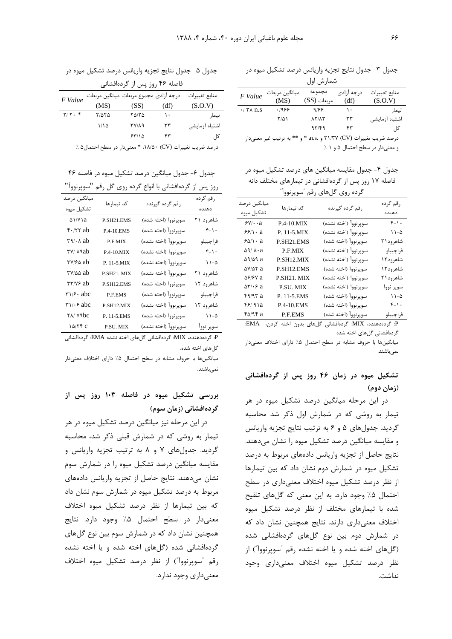جدول ٣- جدول نتايج تجزيه واريانس درصد تشكيل ميوه در

| شمارش اول                       |                |              |             |                |
|---------------------------------|----------------|--------------|-------------|----------------|
| F Value                         | ميانگين مربعات | مجموعه       | د, جه آ;ادی | منابع تغييرات  |
|                                 | (MS)           | مربعات (SS)  | (df)        | (S.O.V)        |
| $\cdot$ / $\uparrow \wedge$ n.s | .1989          | 9188         | ۱۰          | تيمار          |
|                                 | $Y/\Delta$     | <b>AYIAY</b> | ٣٣          | اشتباه آزمايشى |
|                                 |                | 97/49        | ۴۳          | کل ِ           |

درصد ضريب تغييرات (CV) ٢١/٣٧ و .a.s. \* و \*\* به ترتيب غير معنى دار و معنى دار در سطح احتمال ۵ و ۱٪

جدول ۴- جدول مقایسه میانگین های درصد تشکیل میوه در فاصله ۱۷ روز پس از گردهافشانی در تیمارهای مختلف دانه گرده روي گل هاي رقم "سويرنووآ"

|                                        | <i>JJ JaJ</i>  | <b>س پ</b> ب<br>ررب   |                     |
|----------------------------------------|----------------|-----------------------|---------------------|
| میانگین درصد<br>تشكيل ميوه             | كد تيمارها     | رقم گرده گیرنده       | ر قم گر ده<br>دهنده |
| $5\gamma/\cdot a$                      | $P.4-10$ MIX   | سوپرنوواً (اخته نشده) | $f-1$ .             |
| $55/1 \cdot a$                         | P. 11-5.MIX    | سويرنوواً (اخته نشده) | $11 - \Delta$       |
| $80/1 \cdot a$                         | P SH21 EMS     | سويرنوواً (اخته شده)  | شاهر ود ۲۱          |
| $\Delta$ 9/ $\Lambda$ ·a               | P.F.MIX        | سويرنوواً (اخته نشده) | فراجيياو            |
| <b>A9/A9 a</b>                         | P.SH12.MIX     | سويرنوواً (اخته نشده) | شاهر و ۱۲۵          |
| $\Delta V/\Delta Y$ a                  | P SH12 EMS     | سوپرنوواً (اخته شده)  | شاهر ود۱۲           |
| <b><i>SPIPV</i></b> a                  | P.SH21. MIX    | سوپرنوواً (اخته نشده) | شاهر ود ۲۱          |
| $\Delta \mathbf{Y}/\cdot \mathbf{P}$ a | P.SU. MIX      | سويرنوواً (اخته نشده) | سوير نووآ           |
| f9/97a                                 | P. 11-5.EMS    | سوپرنوواً (اخته شده)  | $11 - \Delta$       |
| 59/91a                                 | P.4-10.EMS     | سوپرنوواً (اخته شده)  | $f_{-1}$ .          |
| $f\Delta/9f$ a                         | <b>P.F.EMS</b> | سوپرنوواً (اخته شده)  | فراجييلو            |

P: گردهدهنده، MIX: گردهافشانی گلهای بدون اخته کردن، EMA: گردهافشانی گلهای اخته شده

میانگینها با حروف مشابه در سطح احتمال ۵٪ دارای اختلاف معنیدار نمہ باشند.

### تشکیل میوه در زمان ۴۶ روز پس از گردهافشانی (زمان دوم)

در این مرحله میانگین درصد تشکیل میوه در هر تیمار به روشی که در شمارش اول ذکر شد محاسبه گردید. جدولهای ۵ و ۶ به ترتیب نتایج تجزیه واریانس و مقایسه میانگین درصد تشکیل میوه را نشان می دهند. نتایج حاصل از تجزیه واریانس دادههای مربوط به درصد تشکیل میوه در شمارش دوم نشان داد که بین تیمارها از نظر درصد تشکیل میوه اختلاف معنیداری در سطح احتمال ۵٪ وجود دارد. به این معنی که گلهای تلقیح شده با تیمارهای مختلف از نظر درصد تشکیل میوه اختلاف معنى دارى دارند. نتايج همچنين نشان داد كه در شمارش دوم بین نوع گلهای گردهافشانی شده (گلهای اخته شده و یا اخته نشده رقم "سوپرنووآ") از نظر درصد تشكيل ميوه اختلاف معنى دارى وجود نداشت.

جدول ۵- جدول نتايج تجزيه واريانس درصد تشكيل ميوه در

| فاصله ۴۶ روز پس از گردهافشانی |  |
|-------------------------------|--|
|-------------------------------|--|

| F Value   |       | درجه أزادي مجموع مربعات ميانگين مربعات |                                                                                                                    | منابع تغييرات  |
|-----------|-------|----------------------------------------|--------------------------------------------------------------------------------------------------------------------|----------------|
|           | (MS)  | (SS)                                   | (df)                                                                                                               | (S.O.V)        |
| $Y/Y$ . * | ۲/۵۲۵ | ۲۵/۲۵                                  | ۱۰                                                                                                                 | تيمار          |
|           | ۱۱۱۵  | 37/19                                  | ٣٣                                                                                                                 | اشتباه آزمایشی |
|           |       | ۶۳/۱۵                                  | ۴۳                                                                                                                 | کل             |
|           |       |                                        | $\mathbf{a}$ and $\mathbf{a}$ and $\mathbf{a}$ and $\mathbf{a}$ and $\mathbf{a}$ and $\mathbf{a}$ and $\mathbf{a}$ |                |

درصد ضريب تغييرات (CV) ١٨/٥٠، \* معنىدار در سطح احتمال ۵٪

جدول ۶- جدول میانگین درصد تشکیل میوه در فاصله ۴۶

|                                              |                        | از گردهافشانی با انواع گرده روی گل رقم "سوپرنووآ" | روز پس             |
|----------------------------------------------|------------------------|---------------------------------------------------|--------------------|
| میانگین درصد                                 | كد تيمارها             | رقم گرده گیرنده                                   | رقم گرده           |
| تشكيل ميوه                                   |                        |                                                   | دهنده              |
| $\triangle 1/Y$ $\setminus a$                | P.SH <sub>21</sub> EMS | سوپرنوواً (اخته شده)                              | شاهرود ۲۱          |
| $f \cdot / \tau \tau$ ab                     | <b>P.4-10.EMS</b>      | سوپرنوواً (اخته شده)                              | $f - \lambda$ .    |
| $r_1 \cdots$ ab                              | P.F.MIX                | سوپرنوواً (اخته نشده)                             | فراجييلو           |
| ۳۷/ ۸۹ab                                     | $P.4-10.MIX$           | سوپرنوواً (اخته نشده)                             | $f_{-1}$ .         |
| ۳۷/۶۵ ab                                     | P. 11-5.MIX            | سوپرنوواً (اخته نشده)                             | $\lambda - \Delta$ |
| ۳۷/۵۵ ab                                     | P.SH21. MIX            | سوپرنوواً (اخته نشده)                             | شاهرود ۲۱          |
| ۳۳/۷۶ ab                                     | P.SH12.EMS             | سوپرنوواً (اخته شده)                              | شاهرود ۱۲          |
| $\mathbf{y}_1/\mathbf{y} \cdot \mathbf{abc}$ | P.F.EMS                | سوپرنوواً (اخته شده)                              | فراجييلو           |
| $\mathbf{r} \vee \mathbf{r}$ abc             | P SH12 MIX             | سوپرنوواً (اخته نشده)                             | شاهرود ۱۲          |
| <b>TA/ YAbc</b>                              | P. 11-5.EMS            | سوپرنوواً (اخته شده)                              | $\lambda - \Delta$ |
| $\Delta$ /۲۴ c                               | P.SU. MIX              | سوپرنوواً (اخته نشده)                             | سوپر نووآ          |

P: گردهدهنده، MIX: گردهافشانی گلهای اخته نشده EMA: گردهافشانی گلهای اخته شده.

میانگینها با حروف مشابه در سطح احتمال ۰٪ دارای اختلاف معنے دار نمیباشند.

### بررسی تشکیل میوه در فاصله ۱۰۳ روز پس از گردهافشانی (زمان سوم)

در این مرحله نیز میانگین درصد تشکیل میوه در هر تیمار به روشی که در شمارش قبلی ذکر شد، محاسبه گردید. جدولهای ۷ و ۸ به ترتیب تجزیه واریانس و مقایسه میانگین درصد تشکیل میوه را در شمارش سوم نشان می دهند. نتایج حاصل از تجزیه واریانس دادههای مربوط به درصد تشکیل میوه در شمارش سوم نشان داد كه بين تيمارها از نظر درصد تشكيل ميوه اختلاف معنىدار در سطح احتمال ۵٪ وجود دارد. نتايج همچنین نشان داد که در شمارش سوم بین نوع گلهای گردهافشانی شده (گلهای اخته شده و یا اخته نشده رقم "سويرنوواً") از نظر درصد تشكيل ميوه اختلاف معنی داری وجود ندارد.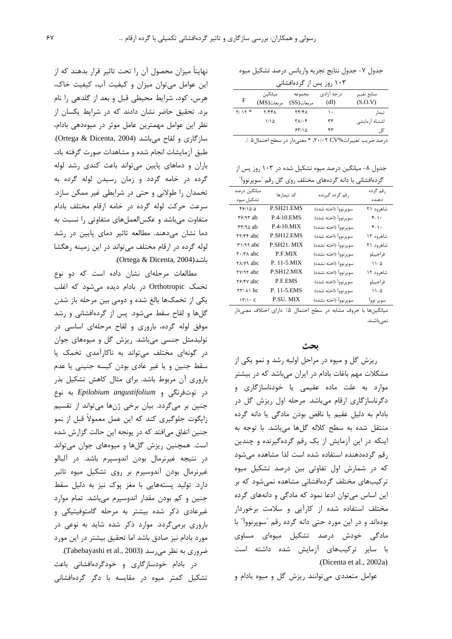جدول ٧- جدول نتايج تجزيه واريانس درصد تشكيل ميوه

| ۱۰ روز پس از گردهافشانی |
|-------------------------|
|-------------------------|

|          | ີ           | , , , , <i>, , ,</i>                            |             |                |
|----------|-------------|-------------------------------------------------|-------------|----------------|
|          | ميانگين     | مجموعه                                          | د, جه آ;ادی | منابع تغيير    |
| F        | مربعات (MS) | $(SS)$ مریعات                                   | (df)        | (S.O.V)        |
| $Y/1Y$ * | Y/FFA       | <b>74/41</b>                                    | ۱۰          | تيمار          |
|          | ۱۱۱۵        | $\mathbf{Y} \wedge \mathbf{X} \cdot \mathbf{Y}$ | ٣٣          | اشتباه آزمایشی |
|          |             | ۶۳/۱۵                                           | ۴۳          | کا ،           |
|          |             |                                                 |             |                |

درصد ضريب تغييرات %٢٠/٠٢، \* معنىدار در سطح احتمال ۵ ٪.

جدول ۸- میانگین درصد میوه تشکیل شده در ۱۰۳ روز پس از  $\sqrt[n]{1}$  .  $\sqrt[n]{1}$  .  $\sqrt[n]{2}$ هام مختلف

|                                   |                   | دردهافشانی با دانه (دردهای محتلف روی کل رقم اسویربووا |                 |
|-----------------------------------|-------------------|-------------------------------------------------------|-----------------|
| میانگین درصد                      | كد تيمارها        | رقم گرده گیرنده                                       | رقم گرده        |
| تشكيل ميوه                        |                   |                                                       | دهنده           |
| $f$ $/$ 10 a                      | P.SH21.EMS        | سوپرنوواً (اخته شده)                                  | شاهرود ۲۱       |
| $\mathbf{r}$ ۶/۹۳ ab              | <b>P.4-10 EMS</b> | سوپرنوواً (اخته شده)                                  | $f - \lambda$ . |
| $TT/90$ ab                        | $P.4-10.MIX$      | سويرنوواً (اخته نشده)                                 | $f - \lambda$ . |
| <b>TY/TF</b> abc                  | P.SH12.EMS        | سوپرنوواً (اخته شده)                                  | شاهرود ۱۲       |
| $\tau$ 1/99 abc                   | P.SH21. MIX       | سوپرنوواً (اخته نشده)                                 | شاهرود ۲۱       |
| $\mathbf{r} \cdot \mathbf{r}$ abc | P.F.MIX           | سوپرنوواً (اخته نشده)                                 | فراجييلو        |
| ۲۸/۷۹ abc                         | P. 11-5.MIX       | سوپرنوواً (اخته نشده)                                 | $11-\Delta$     |
| <b>TV/97</b> abc                  | P.SH12.MIX        | سوپرنوواً (اخته نشده)                                 | شاهرود ۱۲       |
| <b>T</b> <sup>/</sup> /*Y abc     | P.F.EMS           | سوپرنوواً (اخته شده)                                  | فراجييلو        |
| $\tau\tau/\lambda$ bc             | P. 11-5.EMS       | سوپرنوواً (اخته شده)                                  | $11-\Delta$     |
| $17/1 \cdot C$                    | P.SU. MIX         | سوپرنوواً (اخته نشده)                                 | سوير نووآ       |
|                                   |                   |                                                       |                 |

میانگینها با حروف مشابه در سطح احتمال ۰٪ دارای اختلاف معنیدار نمے باشند.

بحث ریزش گل و میوه در مراحل اولیه رشد و نمو یکی از مشکلات مهم باغات بادام در ایران میباشد که در بیشتر موارد به علت ماده عقیمی یا خودناسازگاری و دگرناسازگاری ارقام میباشد. مرحله اول ریزش گل در بادام به دلیل عقیم یا ناقص بودن مادگی یا دانه گرده منتقل شده به سطح كلاله گلها مى باشد. با توجه به اینکه در این آزمایش از یک رقم گردهگیرنده و چندین رقم گردهدههنده استفاده شده است لذا مشاهده می شود که در شمارش اول تفاوتی بین درصد تشکیل میوه ترکیبهای مختلف گردهافشانی مشاهده نمی شود که بر این اساس می توان ادعا نمود که مادگی و دانههای گرده مختلف استفاده شده از کارآیی و سلامت برخوردار بودهاند و در این مورد حتی دانه گرده رقم "سوپرنوواً" با مادگی خودش درصد تشکیل میوهای مساوی با سایر ترکیبهای آزمایش شده داشته است .(Dicenta et al., 2002a)

عوامل متعددی می توانند ریزش گل و میوه بادام و

نهایتاً میزان محصول آن را تحت تاثیر قرار بدهند که از این عوامل میتوان میزان و کیفیت آب، کیفیت خاک، هرس، کود، شرایط محیطی قبل و بعد از گلدهی را نام برد. تحقیق حاضر نشان دادند که در شرایط یکسان از نظر این عوامل مهمترین عامل موثر در میوهدهی بادام، سازگاری و لقاح می باشد (Ortega & Dicenta, 2004). طبق آزمایشات انجام شده و مشاهدات صورت گرفته باد، باران و دماهای پایین می تواند باعث کندی رشد لوله گرده در خامه گردد و زمان رسیدن لوله گرده به تخمدان را طولانی و حتی در شرایطی غیر ممکن سازد. سرعت حركت لوله گرده در خامه ارقام مختلف بادام متفاوت می باشد و عکس العمل های متفاوتی را نسبت به دما نشان میدهند. مطالعه تاثیر دمای پایین در رشد لوله گرده در ارقام مختلف می تواند در این زمینه رهگشا باشد(Ortega & Dicenta, 2004).

مطالعات مرحلهای نشان داده است که دو نوع تخمک Orthotropic در بادام دیده می شود که اغلب یکی از تخمکها بالغ شده و دومی بین مرحله باز شدن گلها و لقاح سقط میشود. پس از گردهافشانی و رشد موفق لوله گرده، باروری و لقاح مرحلهای اساسی در تولیدمثل جنسی میباشد. ریزش گل و میوههای جوان در گونهای مختلف می تواند به ناکارآمدی تخمک یا سقط جنین و یا غیر عادی بودن کیسه جنینی یا عدم باروری آن مربوط باشد. برای مثال کاهش تشکیل بذر در توتفرنگی و Epilobium angustifolium به نوع جنين بر مي¢دد. بيان برخي ژنها ميتواند از تقسيم زايگوت جلوگيري كند كه اين عمل معمولاً قبل از نمو جنین اتفاق می|فتد که در یونجه این حالت گزارش شده است. همچنین ریزش گلها و میوههای جوان می تواند در نتيجه غيرنرمال بودن اندوسپرم باشد. در آلبالو غیرنرمال بودن آندوسپرم بر روی تشکیل میوه تاثیر دارد. تولید پستههایی با مغز پوک نیز به دلیل سقط جنین و کم بودن مقدار اندوسپرم میباشد. تمام موارد غیرعادی ذکر شده بیشتر به مرحله گامتوفیتیکی و باروری برمیگردد. موارد ذکر شده شاید به نوعی در مورد بادام نیز صادق باشد اما تحقیق بیشتر در این مورد ضروری به نظر می رسد (Tabebayashi et al., 2003).

در بادام خودسازگاری و خودگردهافشانی باعث تشکیل کمتر میوه در مقایسه با دگر گردهافشانی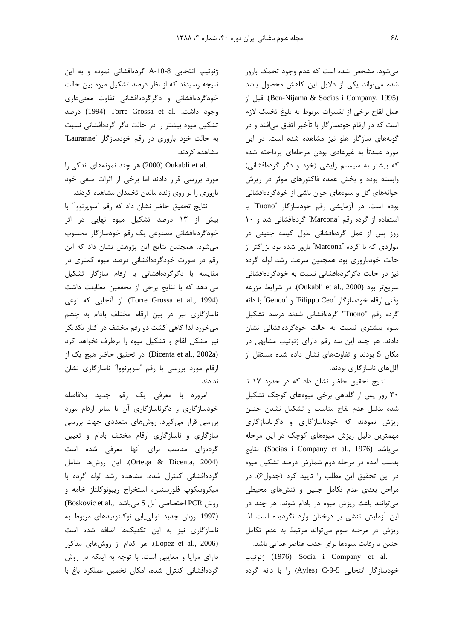می شود. مشخص شده است که عدم وجود تخمک بارور شده می تواند یکی از دلایل این کاهش محصول باشد (Ben-Nijama & Socias i Company, 1995). قبل از عمل لقاح برخي از تغييرات مربوط به بلوغ تخمک لازم است که در ارقام خودسازگار با تأخیر اتفاق میافتد و در گونههای سازگار هلو نیز مشاهده شده است. در این مورد عمدتاً به غیرعادی بودن مرحلهای پرداخته شده که بیشتر به سیستم زایشی (خود و دگر گردهافشانی) وابسته بوده و بخش عمده فاكتورهاى موثر در ريزش جوانههای گل و میوههای جوان ناشی از خودگردهافشانی بوده است. در آزمایشی رقم خودسازگار "Tuono" با استفاده از گرده رقم "Marcona" گردهافشانی شد و ١٠ روز پس از عمل گردهافشانی طول کیسه جنینی در مواردی که با گرده "Marcona" بارور شده بود بزرگتر از حالت خودباروری بود همچنین سرعت رشد لوله گرده نیز در حالت دگرگردهافشانی نسبت به خودگردهافشانی سريع تر بود (Oukabli et al., 2000). در شرايط مزرعه وقتي ارقام خودسازگار "Filippo Ceo" و "Genco" با دانه گرده رقم "Tuono" گردهافشانی شدند درصد تشکیل میوه بیشتری نسبت به حالت خودگردهافشانی نشان دادند. هر چند این سه رقم دارای ژنوتیپ مشابهی در مکان S بودند و تفاوتهای نشان داده شده مستقل از آللهای ناسازگاری بودند.

نتايج تحقيق حاضر نشان داد كه در حدود ١٧ تا ۳۰ روز پس از گلدهی برخی میوههای کوچک تشکیل شده بدلیل عدم لقاح مناسب و تشکیل نشدن جنین ریزش نمودند که خودناسازگاری و دگرناسازگاری مهمترین دلیل ریزش میوههای کوچک در این مرحله می باشد (Socias i Company et al., 1976). نتایج بدست آمده در مرحله دوم شمارش درصد تشکیل میوه در این تحقیق این مطلب را تایید کرد (جدول۶). در مراحل بعدی عدم تکامل جنین و تنشهای محیطی می توانند باعث ریزش میوه در بادام شوند. هر چند در این آزمایش تنشی بر درختان وارد نگردیده است لذا ریزش در مرحله سوم می تواند مرتبط به عدم تکامل جنین یا رقابت میوهها برای جذب عناصر غذایی باشد. ژنوتيپ (1976) Socia i Company et al. خودسازگار انتخابی C-9-5 (Ayles) را با دانه گرده

ژنوتیپ انتخابی A-10-8 گردهافشانی نموده و به این نتیجه رسیدند که از نظر درصد تشکیل میوه بین حالت خودگردهافشانی و دگرگردهافشانی تفاوت معنیداری وجود داشت. Torre Grossa et al. درصد تشکیل میوه بیشتر را در حالت دگر گردهافشانی نسبت به حالت خود باروري در رقم خودسازگار "Lauranne" مشاهده کردند.

.Oukabli et al) هر چند نمونههای اندکی را مورد بررسی قرار دادند اما برخی از اثرات منفی خود باروری را بر روی زنده ماندن تخمدان مشاهده کردند.

نتايج تحقيق حاضر نشان داد كه رقم "سوپرنوواً" با بیش از ۱۳ درصد تشکیل میوه نهایی در اثر خودگردهافشانی مصنوعی یک رقم خودسازگار محسوب می شود. همچنین نتایج این پژوهش نشان داد که این رقم در صورت خودگردهافشانی درصد میوه کمتری در مقایسه با دگرگردهافشانی با ارقام سازگار تشکیل می دهد که با نتایج برخی از محققین مطابقت داشت (Torre Grossa et al., 1994). از آنجایی که نوعی ناسازگاری نیز در بین ارقام مختلف بادام به چشم میخورد لذا گاهی کشت دو رقم مختلف در کنار یکدیگر نیز مشکل لقاح و تشکیل میوه را برطرف نخواهد کرد (Dicenta et al., 2002a). در تحقیق حاضر هیچ یک از ارقام مورد بررسی با رقم "سوپرنوواً" ناسازگاری نشان ندادند.

امروزه با معرفي يک رقم جديد بلافاصله خودسازگاری و دگرناسازگاری آن با سایر ارقام مورد بررسی قرار میگیرد. روشهای متعددی جهت بررسی سازگاری و ناسازگاری ارقام مختلف بادام و تعیین گردهزای مناسب برای آنها معرفی شده است (Ortega & Dicenta, 2004). این روشها شامل گردهافشانی کنترل شده، مشاهده رشد لوله گرده با میکروسکوپ فلورسنس، استخراج ریبونوکلئاز خامه و (وش PCR اختصاصی آلل S می باشد , Boskovic et al) (1997. روش جدید توالی یابی نوکلئوتیدهای مربوط به ناسازگاری نیز به این تکنیکها اضافه شده است (Lopez et al., 2006). هر كدام از روشهاى مذكور دارای مزایا و معایبی است. با توجه به اینکه در روش گردهافشانی کنترل شده، امکان تخمین عملکرد باغ با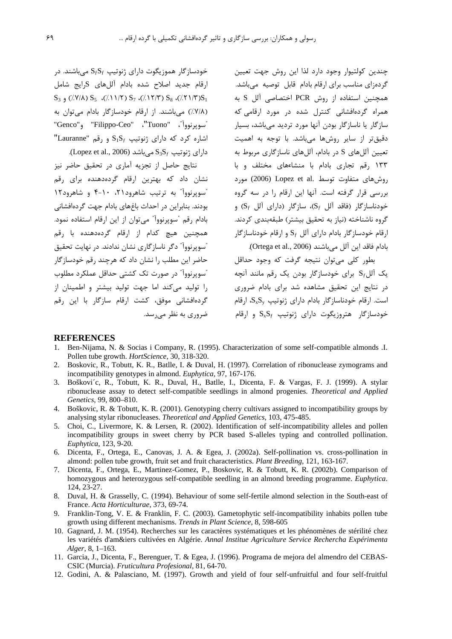خودسازگار هموزیگوت دارای ژنوتیپ  $S_fS_f$  می باشند. در ارقام جدید اصلاح شده بادام آللهای Sرایج شامل  $S_3$  (/Y/A)  $S_5$  (/. 11/Y)  $S_7$  (/. 17/Y)  $S_8$  (/. 11/Y) $S_1$ (٧/٨/) میباشند. از ارقام خودسازگار بادام می توان به "سويرنووآ"، "Tuono"، "Filippo-Ceo"، و"Genco" "Lauranne" و رقم "Lauranne"  $\Delta S_3$ دارای ژنوتیپ  $S_3S_f$  می باشد (Lopez et al., 2006).

نتايج حاصل از تجزيه آماري در تحقيق حاضر نيز نشان داد که بهترین ارقام گردهدهنده برای رقم "سويرنوواً" به ترتيب شاهرود ٢١، ٤٠-۴ و شاهرود١٢ بودند. بنابراین در احداث باغهای بادام جهت گردهافشانی بادام رقم "سویرنووآ" می توان از این ارقام استفاده نمود. همچنین هیچ کدام از ارقام گردهدهنده با رقم <sup>"</sup>سویرنووآ<sup>"</sup> دگر ناسازگاری نشان ندادند. در نهایت تحقیق حاضر این مطلب را نشان داد که هرچند رقم خودسازگار "سوپرنووآ" در صورت تک کشتی حداقل عملکرد مطلوب را تولید می کند اما حهت تولید پیشتر و اطمینان از گردهافشانی موفق، کشت ارقام سازگار با این رقم ضروری به نظر می رسد.

چندین کولتیوار وجود دارد لذا این روش جهت تعیین گردهزای مناسب برای ارقام بادام قابل توصیه میباشد. همچنین استفاده از روش PCR اختصاصی آلل S به همراه گردهافشانی کنترل شده در مورد ارقامی که سازگار یا ناسازگار بودن آنها مورد تردید میباشد، بسیار دقیقتر از سایر روشها میباشد. با توجه به اهمیت تعیین آللهای S در بادام، آللهای ناسازگاری مربوط به ۱۳۳ ,قم تجاری بادام با منشاءهای مختلف و با روش های متفاوت توسط .Lopez et al (2006) مورد بررسی قرار گرفته است. آنها این ارقام را در سه گروه خودناسازگار (فاقد آلل Sf)، سازگار (دارای آلل Sf) و گروه ناشناخته (نیاز به تحقیق بیشتر) طبقهبندی کردند. ارقام خودسازگار بادام دارای آلل  $\mathrm{S}_f$  و ارقام خودناسازگار بادام فاقد ابن آلل مي باشند (Ortega et al., 2006).

بطور کلي مي توان نتيجه گرفت که وجود حداقل یک آلل $S_f$  برای خودسازگار بودن یک رقم مانند آنچه در نتایج این تحقیق مشاهده شد برای بادام ضروری است. ارقام خودناسازگار بادام دارای ژنوتیپ  $S_{\rm x}S_{\rm v}$ ، ارقام خودسازگار هتروزیگوت دارای ژنوتیپ  $\mathrm{S}_{\mathrm{x}}\mathrm{S}_{\mathrm{f}}$  و ارقام

#### **REFERENCES**

- 1. Ben-Nijama, N. & Socias i Company, R. (1995). Characterization of some self-compatible almonds .I. Pollen tube growth. HortScience, 30, 318-320.
- Boskovic, R., Tobutt, K. R., Batlle, I. & Duval, H. (1997). Correlation of ribonuclease zymograms and 2. incompatibility genotypes in almond. Euphytica, 97, 167-176.
- 3. Boškovi'c, R., Tobutt, K. R., Duval, H., Batlle, I., Dicenta, F. & Vargas, F. J. (1999). A stylar ribonuclease assay to detect self-compatible seedlings in almond progenies. Theoretical and Applied Genetics, 99, 800-810.
- 4. Boškovic, R. & Tobutt, K. R. (2001). Genotyping cherry cultivars assigned to incompatibility groups by analysing stylar ribonucleases. Theoretical and Applied Genetics, 103, 475-485.
- 5. Choi, C., Livermore, K. & Lersen, R. (2002). Identification of self-incompatibility alleles and pollen incompatibility groups in sweet cherry by PCR based S-alleles typing and controlled pollination. Euphytica, 123, 9-20.
- 6. Dicenta, F., Ortega, E., Canovas, J. A. & Egea, J. (2002a). Self-pollination vs. cross-pollination in almond: pollen tube growth, fruit set and fruit characteristics. Plant Breeding, 121, 163-167.
- 7. Dicenta, F., Ortega, E., Martinez-Gomez, P., Boskovic, R. & Tobutt, K. R. (2002b). Comparison of homozygous and heterozygous self-compatible seedling in an almond breeding programme. Euphytica. 124, 23-27.
- 8. Duval, H. & Grasselly, C. (1994). Behaviour of some self-fertile almond selection in the South-east of France. Acta Horticulturae, 373, 69-74.
- Franklin-Tong, V. E. & Franklin, F. C. (2003). Gametophytic self-incompatibility inhabits pollen tube  $9<sub>1</sub>$ growth using different mechanisms. Trends in Plant Science, 8, 598-605
- 10. Gagnard, J. M. (1954). Recherches sur les caractères systématiques et les phénomènes de stérilité chez les variétés d'am&iers cultivées en Algérie. Annal Institue Agriculture Service Rechercha Expérimenta Alger, 8, 1-163.
- 11. Garcia, J., Dicenta, F., Berenguer, T. & Egea, J. (1996). Programa de mejora del almendro del CEBAS-CSIC (Murcia). Fruticultura Profesional, 81, 64-70.
- 12. Godini, A. & Palasciano, M. (1997). Growth and yield of four self-unfruitful and four self-fruitful